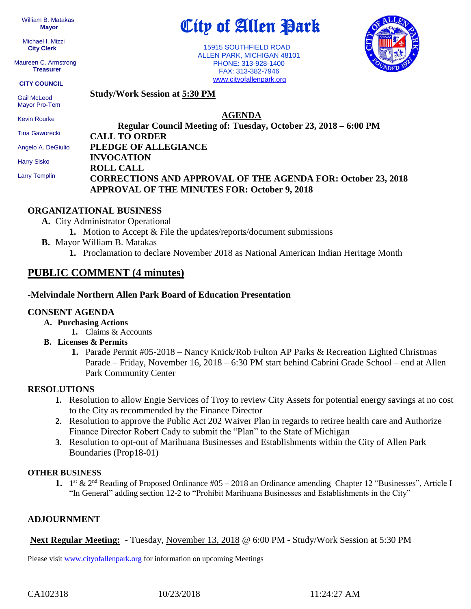William B. Matakas  **Mayor**

 Michael I. Mizzi **City Clerk**

Maureen C. Armstrong **Treasurer**

#### **CITY COUNCIL**

 Gail McLeod Mayor Pro-Tem

Kevin Rourke

Tina Gaworecki

Angelo A. DeGiulio

Harry Sisko

Larry Templin

# City of Allen Park

 15915 SOUTHFIELD ROAD ALLEN PARK, MICHIGAN 48101 PHONE: 313-928-1400 FAX: 313-382-7946 [www.cityofallenpark.org](http://www.cityofallenpark.org/)



**Study/Work Session at 5:30 PM**

### **AGENDA**

**Regular Council Meeting of: Tuesday, October 23, 2018 – 6:00 PM CALL TO ORDER PLEDGE OF ALLEGIANCE INVOCATION ROLL CALL CORRECTIONS AND APPROVAL OF THE AGENDA FOR: October 23, 2018 APPROVAL OF THE MINUTES FOR: October 9, 2018**

#### **ORGANIZATIONAL BUSINESS**

- **A.** City Administrator Operational
	- **1.** Motion to Accept & File the updates/reports/document submissions
- **B.** Mayor William B. Matakas
	- **1.** Proclamation to declare November 2018 as National American Indian Heritage Month

## **PUBLIC COMMENT (4 minutes)**

#### **-Melvindale Northern Allen Park Board of Education Presentation**

#### **CONSENT AGENDA**

- **A. Purchasing Actions**
	- **1.** Claims & Accounts
- **B. Licenses & Permits**
	- **1.** Parade Permit #05-2018 Nancy Knick/Rob Fulton AP Parks & Recreation Lighted Christmas Parade – Friday, November 16, 2018 – 6:30 PM start behind Cabrini Grade School – end at Allen Park Community Center

#### **RESOLUTIONS**

- **1.** Resolution to allow Engie Services of Troy to review City Assets for potential energy savings at no cost to the City as recommended by the Finance Director
- **2.** Resolution to approve the Public Act 202 Waiver Plan in regards to retiree health care and Authorize Finance Director Robert Cady to submit the "Plan" to the State of Michigan
- **3.** Resolution to opt-out of Marihuana Businesses and Establishments within the City of Allen Park Boundaries (Prop18-01)

#### **OTHER BUSINESS**

1. 1<sup>st</sup> & 2<sup>nd</sup> Reading of Proposed Ordinance #05 – 2018 an Ordinance amending Chapter 12 "Businesses", Article I "In General" adding section 12-2 to "Prohibit Marihuana Businesses and Establishments in the City"

#### **ADJOURNMENT**

**Next Regular Meeting: -** Tuesday, November 13, 2018 @ 6:00 PM **-** Study/Work Session at 5:30 PM

Please visit [www.cityofallenpark.org](http://www.cityofallenpark.org/) for information on upcoming Meetings